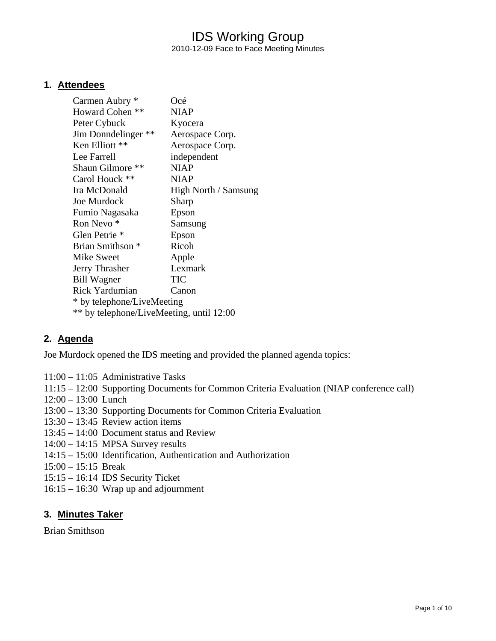## IDS Working Group 2010-12-09 Face to Face Meeting Minutes

### **1. Attendees**

| Carmen Aubry *                           | Océ                  |
|------------------------------------------|----------------------|
| Howard Cohen **                          | NIAP                 |
| Peter Cybuck                             | Kyocera              |
| Jim Donndelinger **                      | Aerospace Corp.      |
| Ken Elliott **                           | Aerospace Corp.      |
| Lee Farrell                              | independent          |
| Shaun Gilmore **                         | <b>NIAP</b>          |
| Carol Houck **                           | <b>NIAP</b>          |
| Ira McDonald                             | High North / Samsung |
| <b>Joe Murdock</b>                       | Sharp                |
| Fumio Nagasaka                           | Epson                |
| Ron Nevo <sup>*</sup>                    | Samsung              |
| Glen Petrie *                            | Epson                |
| Brian Smithson *                         | Ricoh                |
| Mike Sweet                               | Apple                |
| Jerry Thrasher                           | Lexmark              |
| <b>Bill Wagner</b>                       | <b>TIC</b>           |
| <b>Rick Yardumian</b>                    | Canon                |
| * by telephone/LiveMeeting               |                      |
| ** by telephone/LiveMeeting, until 12:00 |                      |

### **2. Agenda**

Joe Murdock opened the IDS meeting and provided the planned agenda topics:

- 11:00 11:05 Administrative Tasks
- 11:15 12:00 Supporting Documents for Common Criteria Evaluation (NIAP conference call)
- 12:00 13:00 Lunch
- 13:00 13:30 Supporting Documents for Common Criteria Evaluation
- 13:30 13:45 Review action items
- 13:45 14:00 Document status and Review
- 14:00 14:15 MPSA Survey results
- 14:15 15:00 Identification, Authentication and Authorization
- 15:00 15:15 Break
- 15:15 16:14 IDS Security Ticket
- 16:15 16:30 Wrap up and adjournment

### **3. Minutes Taker**

Brian Smithson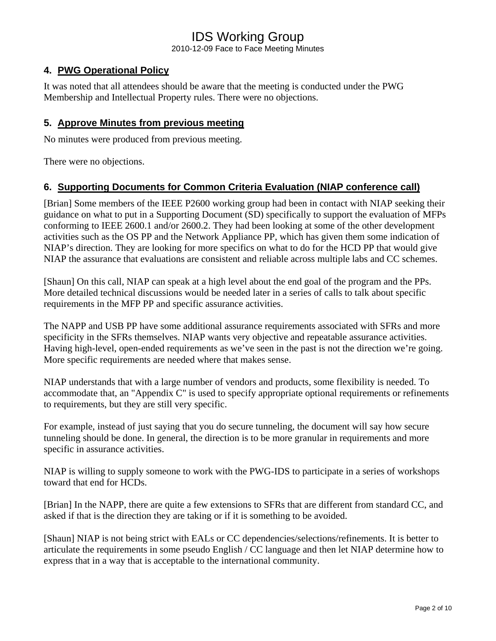2010-12-09 Face to Face Meeting Minutes

## **4. PWG Operational Policy**

It was noted that all attendees should be aware that the meeting is conducted under the PWG Membership and Intellectual Property rules. There were no objections.

## **5. Approve Minutes from previous meeting**

No minutes were produced from previous meeting.

There were no objections.

### **6. Supporting Documents for Common Criteria Evaluation (NIAP conference call)**

[Brian] Some members of the IEEE P2600 working group had been in contact with NIAP seeking their guidance on what to put in a Supporting Document (SD) specifically to support the evaluation of MFPs conforming to IEEE 2600.1 and/or 2600.2. They had been looking at some of the other development activities such as the OS PP and the Network Appliance PP, which has given them some indication of NIAP's direction. They are looking for more specifics on what to do for the HCD PP that would give NIAP the assurance that evaluations are consistent and reliable across multiple labs and CC schemes.

[Shaun] On this call, NIAP can speak at a high level about the end goal of the program and the PPs. More detailed technical discussions would be needed later in a series of calls to talk about specific requirements in the MFP PP and specific assurance activities.

The NAPP and USB PP have some additional assurance requirements associated with SFRs and more specificity in the SFRs themselves. NIAP wants very objective and repeatable assurance activities. Having high-level, open-ended requirements as we've seen in the past is not the direction we're going. More specific requirements are needed where that makes sense.

NIAP understands that with a large number of vendors and products, some flexibility is needed. To accommodate that, an "Appendix C" is used to specify appropriate optional requirements or refinements to requirements, but they are still very specific.

For example, instead of just saying that you do secure tunneling, the document will say how secure tunneling should be done. In general, the direction is to be more granular in requirements and more specific in assurance activities.

NIAP is willing to supply someone to work with the PWG-IDS to participate in a series of workshops toward that end for HCDs.

[Brian] In the NAPP, there are quite a few extensions to SFRs that are different from standard CC, and asked if that is the direction they are taking or if it is something to be avoided.

[Shaun] NIAP is not being strict with EALs or CC dependencies/selections/refinements. It is better to articulate the requirements in some pseudo English / CC language and then let NIAP determine how to express that in a way that is acceptable to the international community.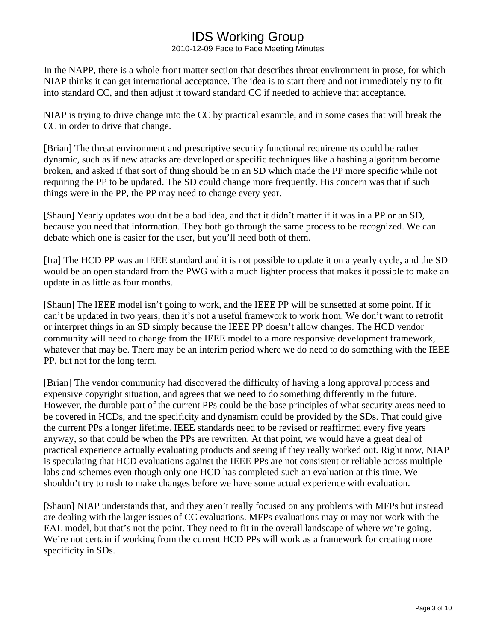2010-12-09 Face to Face Meeting Minutes

In the NAPP, there is a whole front matter section that describes threat environment in prose, for which NIAP thinks it can get international acceptance. The idea is to start there and not immediately try to fit into standard CC, and then adjust it toward standard CC if needed to achieve that acceptance.

NIAP is trying to drive change into the CC by practical example, and in some cases that will break the CC in order to drive that change.

[Brian] The threat environment and prescriptive security functional requirements could be rather dynamic, such as if new attacks are developed or specific techniques like a hashing algorithm become broken, and asked if that sort of thing should be in an SD which made the PP more specific while not requiring the PP to be updated. The SD could change more frequently. His concern was that if such things were in the PP, the PP may need to change every year.

[Shaun] Yearly updates wouldn't be a bad idea, and that it didn't matter if it was in a PP or an SD, because you need that information. They both go through the same process to be recognized. We can debate which one is easier for the user, but you'll need both of them.

[Ira] The HCD PP was an IEEE standard and it is not possible to update it on a yearly cycle, and the SD would be an open standard from the PWG with a much lighter process that makes it possible to make an update in as little as four months.

[Shaun] The IEEE model isn't going to work, and the IEEE PP will be sunsetted at some point. If it can't be updated in two years, then it's not a useful framework to work from. We don't want to retrofit or interpret things in an SD simply because the IEEE PP doesn't allow changes. The HCD vendor community will need to change from the IEEE model to a more responsive development framework, whatever that may be. There may be an interim period where we do need to do something with the IEEE PP, but not for the long term.

[Brian] The vendor community had discovered the difficulty of having a long approval process and expensive copyright situation, and agrees that we need to do something differently in the future. However, the durable part of the current PPs could be the base principles of what security areas need to be covered in HCDs, and the specificity and dynamism could be provided by the SDs. That could give the current PPs a longer lifetime. IEEE standards need to be revised or reaffirmed every five years anyway, so that could be when the PPs are rewritten. At that point, we would have a great deal of practical experience actually evaluating products and seeing if they really worked out. Right now, NIAP is speculating that HCD evaluations against the IEEE PPs are not consistent or reliable across multiple labs and schemes even though only one HCD has completed such an evaluation at this time. We shouldn't try to rush to make changes before we have some actual experience with evaluation.

[Shaun] NIAP understands that, and they aren't really focused on any problems with MFPs but instead are dealing with the larger issues of CC evaluations. MFPs evaluations may or may not work with the EAL model, but that's not the point. They need to fit in the overall landscape of where we're going. We're not certain if working from the current HCD PPs will work as a framework for creating more specificity in SDs.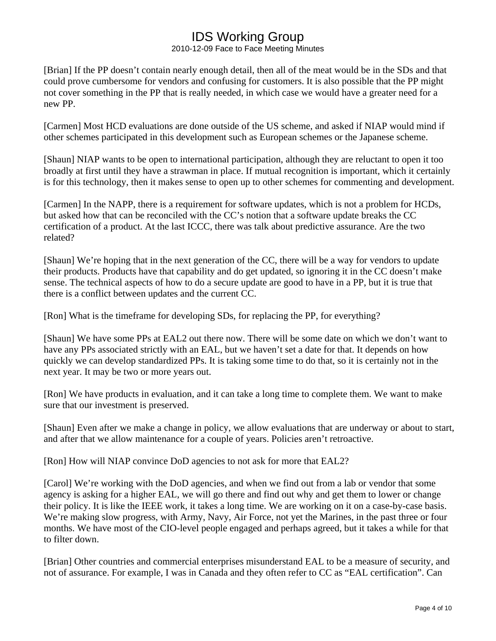2010-12-09 Face to Face Meeting Minutes

[Brian] If the PP doesn't contain nearly enough detail, then all of the meat would be in the SDs and that could prove cumbersome for vendors and confusing for customers. It is also possible that the PP might not cover something in the PP that is really needed, in which case we would have a greater need for a new PP.

[Carmen] Most HCD evaluations are done outside of the US scheme, and asked if NIAP would mind if other schemes participated in this development such as European schemes or the Japanese scheme.

[Shaun] NIAP wants to be open to international participation, although they are reluctant to open it too broadly at first until they have a strawman in place. If mutual recognition is important, which it certainly is for this technology, then it makes sense to open up to other schemes for commenting and development.

[Carmen] In the NAPP, there is a requirement for software updates, which is not a problem for HCDs, but asked how that can be reconciled with the CC's notion that a software update breaks the CC certification of a product. At the last ICCC, there was talk about predictive assurance. Are the two related?

[Shaun] We're hoping that in the next generation of the CC, there will be a way for vendors to update their products. Products have that capability and do get updated, so ignoring it in the CC doesn't make sense. The technical aspects of how to do a secure update are good to have in a PP, but it is true that there is a conflict between updates and the current CC.

[Ron] What is the timeframe for developing SDs, for replacing the PP, for everything?

[Shaun] We have some PPs at EAL2 out there now. There will be some date on which we don't want to have any PPs associated strictly with an EAL, but we haven't set a date for that. It depends on how quickly we can develop standardized PPs. It is taking some time to do that, so it is certainly not in the next year. It may be two or more years out.

[Ron] We have products in evaluation, and it can take a long time to complete them. We want to make sure that our investment is preserved.

[Shaun] Even after we make a change in policy, we allow evaluations that are underway or about to start, and after that we allow maintenance for a couple of years. Policies aren't retroactive.

[Ron] How will NIAP convince DoD agencies to not ask for more that EAL2?

[Carol] We're working with the DoD agencies, and when we find out from a lab or vendor that some agency is asking for a higher EAL, we will go there and find out why and get them to lower or change their policy. It is like the IEEE work, it takes a long time. We are working on it on a case-by-case basis. We're making slow progress, with Army, Navy, Air Force, not yet the Marines, in the past three or four months. We have most of the CIO-level people engaged and perhaps agreed, but it takes a while for that to filter down.

[Brian] Other countries and commercial enterprises misunderstand EAL to be a measure of security, and not of assurance. For example, I was in Canada and they often refer to CC as "EAL certification". Can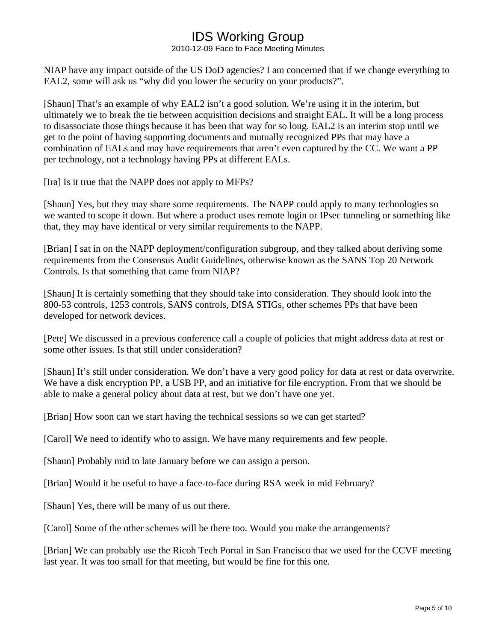2010-12-09 Face to Face Meeting Minutes

NIAP have any impact outside of the US DoD agencies? I am concerned that if we change everything to EAL2, some will ask us "why did you lower the security on your products?".

[Shaun] That's an example of why EAL2 isn't a good solution. We're using it in the interim, but ultimately we to break the tie between acquisition decisions and straight EAL. It will be a long process to disassociate those things because it has been that way for so long. EAL2 is an interim stop until we get to the point of having supporting documents and mutually recognized PPs that may have a combination of EALs and may have requirements that aren't even captured by the CC. We want a PP per technology, not a technology having PPs at different EALs.

[Ira] Is it true that the NAPP does not apply to MFPs?

[Shaun] Yes, but they may share some requirements. The NAPP could apply to many technologies so we wanted to scope it down. But where a product uses remote login or IPsec tunneling or something like that, they may have identical or very similar requirements to the NAPP.

[Brian] I sat in on the NAPP deployment/configuration subgroup, and they talked about deriving some requirements from the Consensus Audit Guidelines, otherwise known as the SANS Top 20 Network Controls. Is that something that came from NIAP?

[Shaun] It is certainly something that they should take into consideration. They should look into the 800-53 controls, 1253 controls, SANS controls, DISA STIGs, other schemes PPs that have been developed for network devices.

[Pete] We discussed in a previous conference call a couple of policies that might address data at rest or some other issues. Is that still under consideration?

[Shaun] It's still under consideration. We don't have a very good policy for data at rest or data overwrite. We have a disk encryption PP, a USB PP, and an initiative for file encryption. From that we should be able to make a general policy about data at rest, but we don't have one yet.

[Brian] How soon can we start having the technical sessions so we can get started?

[Carol] We need to identify who to assign. We have many requirements and few people.

[Shaun] Probably mid to late January before we can assign a person.

[Brian] Would it be useful to have a face-to-face during RSA week in mid February?

[Shaun] Yes, there will be many of us out there.

[Carol] Some of the other schemes will be there too. Would you make the arrangements?

[Brian] We can probably use the Ricoh Tech Portal in San Francisco that we used for the CCVF meeting last year. It was too small for that meeting, but would be fine for this one.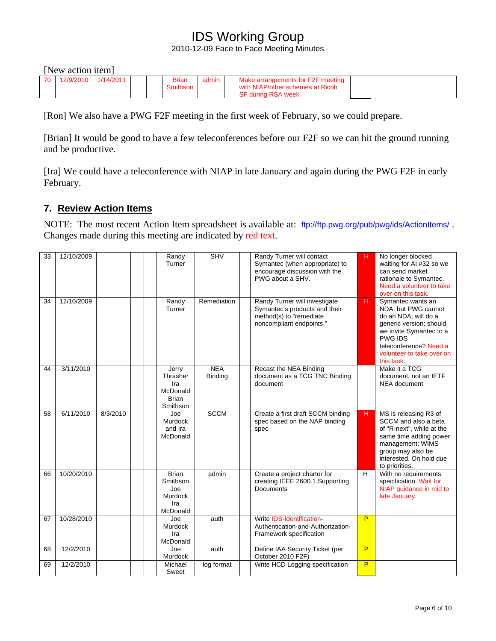2010-12-09 Face to Face Meeting Minutes

|             | [New action item] |           |  |                          |       |  |                                                                                             |  |  |  |  |  |  |  |  |
|-------------|-------------------|-----------|--|--------------------------|-------|--|---------------------------------------------------------------------------------------------|--|--|--|--|--|--|--|--|
| <b>70</b> I | 12/9/2010         | 1/14/2011 |  | <b>Brian</b><br>Smithson | admin |  | Make arrangements for F2F meeting<br>with NIAP/other schemes at Ricoh<br>SF during RSA week |  |  |  |  |  |  |  |  |

[Ron] We also have a PWG F2F meeting in the first week of February, so we could prepare.

[Brian] It would be good to have a few teleconferences before our F2F so we can hit the ground running and be productive.

[Ira] We could have a teleconference with NIAP in late January and again during the PWG F2F in early February.

## **7. Review Action Items**

NOTE: The most recent Action Item spreadsheet is available at: <ftp://ftp.pwg.org/pub/pwg/ids/ActionItems/> . Changes made during this meeting are indicated by red text.

| 33 | 12/10/2009 |          | Randy<br>Turner                                                  | <b>SHV</b>                   | Randy Turner will contact<br>Symantec (when appropriate) to<br>encourage discussion with the<br>PWG about a SHV.      | н  | No longer blocked<br>waiting for AI #32 so we<br>can send market<br>rationale to Symantec.<br>Need a volunteer to take<br>over on this task.                                                                  |
|----|------------|----------|------------------------------------------------------------------|------------------------------|-----------------------------------------------------------------------------------------------------------------------|----|---------------------------------------------------------------------------------------------------------------------------------------------------------------------------------------------------------------|
| 34 | 12/10/2009 |          | Randy<br>Turner                                                  | Remediation                  | Randy Turner will investigate<br>Symantec's products and their<br>method(s) to "remediate<br>noncompliant endpoints." | H. | Symantec wants an<br>NDA, but PWG cannot<br>do an NDA; will do a<br>generic version; should<br>we invite Symantec to a<br><b>PWG IDS</b><br>teleconference? Need a<br>volunteer to take over on<br>this task. |
| 44 | 3/11/2010  |          | Jerry<br>Thrasher<br>Ira<br>McDonald<br><b>Brian</b><br>Smithson | <b>NEA</b><br><b>Binding</b> | Recast the NEA Binding<br>document as a TCG TNC Binding<br>document                                                   |    | Make it a TCG<br>document, not an IETF<br>NEA document                                                                                                                                                        |
| 58 | 6/11/2010  | 8/3/2010 | Joe<br>Murdock<br>and Ira<br>McDonald                            | <b>SCCM</b>                  | Create a first draft SCCM binding<br>spec based on the NAP binding<br>spec                                            | H  | MS is releasing R3 of<br>SCCM and also a beta<br>of "R-next", while at the<br>same time adding power<br>management; WIMS<br>group may also be<br>interested. On hold due<br>to priorities.                    |
| 66 | 10/20/2010 |          | <b>Brian</b><br>Smithson<br>Joe<br>Murdock<br>Ira<br>McDonald    | admin                        | Create a project charter for<br>creating IEEE 2600.1 Supporting<br><b>Documents</b>                                   | H  | With no requirements<br>specification. Wait for<br>NIAP quidance in mid to<br>late January.                                                                                                                   |
| 67 | 10/28/2010 |          | Joe<br>Murdock<br>Ira<br>McDonald                                | auth                         | Write IDS-Identification-<br>Authentication-and-Authorization-<br>Framework specification                             | P  |                                                                                                                                                                                                               |
| 68 | 12/2/2010  |          | Joe<br>Murdock                                                   | auth                         | Define IAA Security Ticket (per<br>October 2010 F2F)                                                                  | P  |                                                                                                                                                                                                               |
| 69 | 12/2/2010  |          | Michael<br>Sweet                                                 | log format                   | Write HCD Logging specification                                                                                       | P  |                                                                                                                                                                                                               |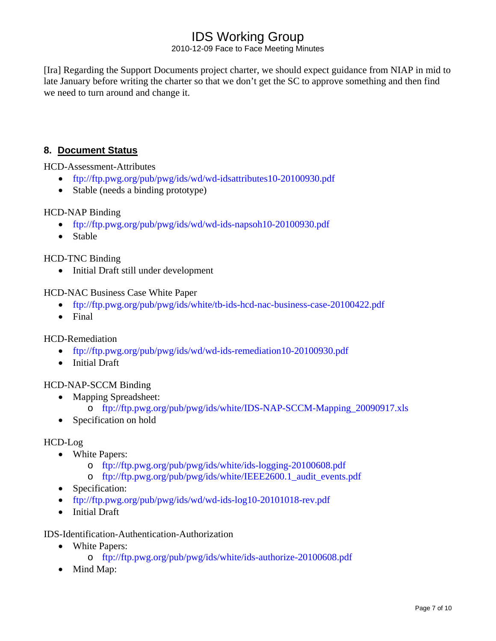2010-12-09 Face to Face Meeting Minutes

[Ira] Regarding the Support Documents project charter, we should expect guidance from NIAP in mid to late January before writing the charter so that we don't get the SC to approve something and then find we need to turn around and change it.

## **8. Document Status**

HCD-Assessment-Attributes

- <ftp://ftp.pwg.org/pub/pwg/ids/wd/wd-idsattributes10-20100930.pdf>
- Stable (needs a binding prototype)

### HCD-NAP Binding

- <ftp://ftp.pwg.org/pub/pwg/ids/wd/wd-ids-napsoh10-20100930.pdf>
- Stable

### HCD-TNC Binding

• Initial Draft still under development

### HCD-NAC Business Case White Paper

- <ftp://ftp.pwg.org/pub/pwg/ids/white/tb-ids-hcd-nac-business-case-20100422.pdf>
- Final

### HCD-Remediation

- <ftp://ftp.pwg.org/pub/pwg/ids/wd/wd-ids-remediation10-20100930.pdf>
- Initial Draft

### HCD-NAP-SCCM Binding

- Mapping Spreadsheet:
	- o [ftp://ftp.pwg.org/pub/pwg/ids/white/IDS-NAP-SCCM-Mapping\\_20090917.xls](ftp://ftp.pwg.org/pub/pwg/ids/white/IDS-NAP-SCCM-Mapping_20090917.xls)
- Specification on hold

### HCD-Log

- White Papers:
	- o <ftp://ftp.pwg.org/pub/pwg/ids/white/ids-logging-20100608.pdf>
	- o [ftp://ftp.pwg.org/pub/pwg/ids/white/IEEE2600.1\\_audit\\_events.pdf](ftp://ftp.pwg.org/pub/pwg/ids/white/IEEE2600.1_audit_events.pdf)
- Specification:
- [ftp://ftp.pwg.org/pub/pwg/ids/wd/wd-ids-log10-20101018-rev.pdf](ftp://ftp.pwg.org/pub/pwg/ids/wd/wd-ids-log10-20100803.pdf)
- Initial Draft

### IDS-Identification-Authentication-Authorization

- White Papers:
	- o <ftp://ftp.pwg.org/pub/pwg/ids/white/ids-authorize-20100608.pdf>
- Mind Map: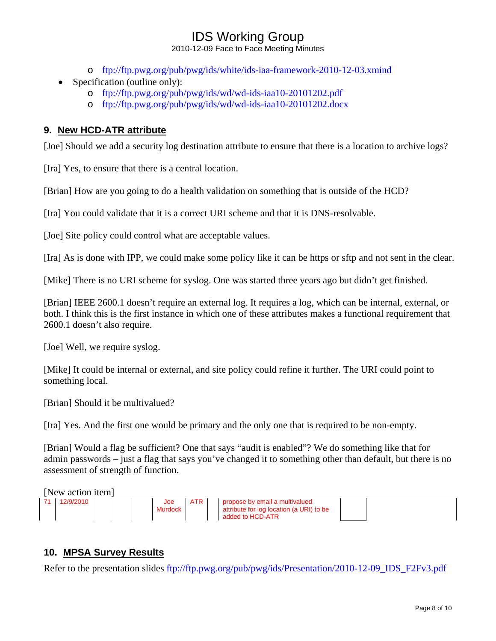2010-12-09 Face to Face Meeting Minutes

- o <ftp://ftp.pwg.org/pub/pwg/ids/white/ids-iaa-framework-2010-12-03.xmind>
- Specification (outline only):
	- o <ftp://ftp.pwg.org/pub/pwg/ids/wd/wd-ids-iaa10-20101202.pdf>
	- o <ftp://ftp.pwg.org/pub/pwg/ids/wd/wd-ids-iaa10-20101202.docx>

## **9. New HCD-ATR attribute**

[Joe] Should we add a security log destination attribute to ensure that there is a location to archive logs?

[Ira] Yes, to ensure that there is a central location.

[Brian] How are you going to do a health validation on something that is outside of the HCD?

[Ira] You could validate that it is a correct URI scheme and that it is DNS-resolvable.

[Joe] Site policy could control what are acceptable values.

[Ira] As is done with IPP, we could make some policy like it can be https or sftp and not sent in the clear.

[Mike] There is no URI scheme for syslog. One was started three years ago but didn't get finished.

[Brian] IEEE 2600.1 doesn't require an external log. It requires a log, which can be internal, external, or both. I think this is the first instance in which one of these attributes makes a functional requirement that 2600.1 doesn't also require.

[Joe] Well, we require syslog.

[Mike] It could be internal or external, and site policy could refine it further. The URI could point to something local.

[Brian] Should it be multivalued?

[Ira] Yes. And the first one would be primary and the only one that is required to be non-empty.

[Brian] Would a flag be sufficient? One that says "audit is enabled"? We do something like that for admin passwords – just a flag that says you've changed it to something other than default, but there is no assessment of strength of function.

[New action item]

|  |  | Joe     | <b>ATR</b> | propose by email a multivalued                               |  |
|--|--|---------|------------|--------------------------------------------------------------|--|
|  |  | Murdock |            | attribute for log location (a URI) to be<br>added to HCD-ATR |  |
|  |  |         |            |                                                              |  |

### **10. MPSA Survey Results**

Refer to the presentation slides [ftp://ftp.pwg.org/pub/pwg/ids/Presentation/2010-12-09\\_IDS\\_F2Fv3.pdf](ftp://ftp.pwg.org/pub/pwg/ids/Presentation/2010-12-09_IDS_F2Fv3.pdf)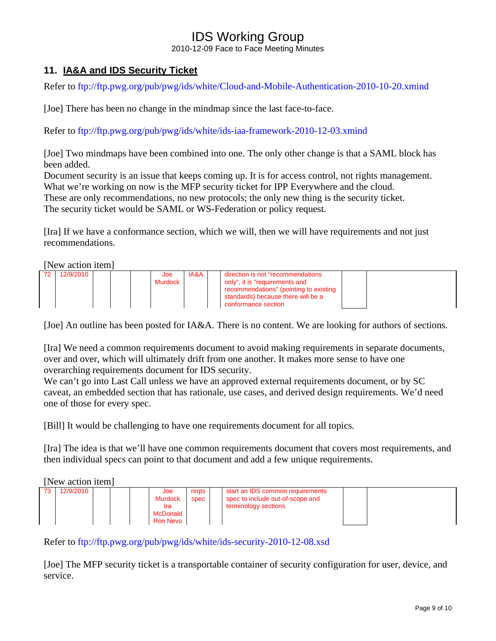2010-12-09 Face to Face Meeting Minutes

## **11. IA&A and IDS Security Ticket**

Refer to<ftp://ftp.pwg.org/pub/pwg/ids/white/Cloud-and-Mobile-Authentication-2010-10-20.xmind>

[Joe] There has been no change in the mindmap since the last face-to-face.

Refer to<ftp://ftp.pwg.org/pub/pwg/ids/white/ids-iaa-framework-2010-12-03.xmind>

[Joe] Two mindmaps have been combined into one. The only other change is that a SAML block has been added.

Document security is an issue that keeps coming up. It is for access control, not rights management. What we're working on now is the MFP security ticket for IPP Everywhere and the cloud. These are only recommendations, no new protocols; the only new thing is the security ticket. The security ticket would be SAML or WS-Federation or policy request.

[Ira] If we have a conformance section, which we will, then we will have requirements and not just recommendations.

[New action item]

| 12/9/2010 |  | Joe<br>Murdock | <b>IA&amp;A</b> | direction is not "recommendations"<br>only", it is "requirements and<br>recommendations" (pointing to existing<br>standards) because there will be a<br>conformance section |  |
|-----------|--|----------------|-----------------|-----------------------------------------------------------------------------------------------------------------------------------------------------------------------------|--|
|           |  |                |                 |                                                                                                                                                                             |  |

[Joe] An outline has been posted for IA&A. There is no content. We are looking for authors of sections.

[Ira] We need a common requirements document to avoid making requirements in separate documents, over and over, which will ultimately drift from one another. It makes more sense to have one overarching requirements document for IDS security.

We can't go into Last Call unless we have an approved external requirements document, or by SC caveat, an embedded section that has rationale, use cases, and derived design requirements. We'd need one of those for every spec.

[Bill] It would be challenging to have one requirements document for all topics.

[Ira] The idea is that we'll have one common requirements document that covers most requirements, and then individual specs can point to that document and add a few unique requirements.

[New action item]

| 12/9/2010 |  | Joe             | regts | start an IDS common requirements |  |
|-----------|--|-----------------|-------|----------------------------------|--|
|           |  | Murdock         | spec  | spec to include out-of-scope and |  |
|           |  |                 |       | terminology sections             |  |
|           |  | <b>McDonald</b> |       |                                  |  |
|           |  | <b>Ron Nevo</b> |       |                                  |  |
|           |  |                 |       |                                  |  |

Refer to<ftp://ftp.pwg.org/pub/pwg/ids/white/ids-security-2010-12-08.xsd>

[Joe] The MFP security ticket is a transportable container of security configuration for user, device, and service.